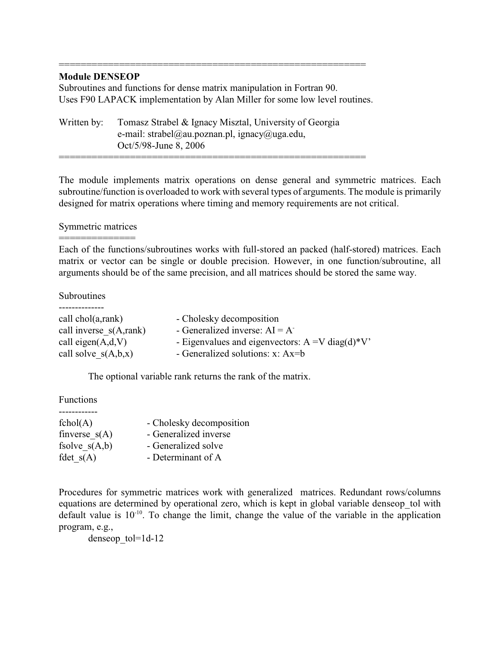## **Module DENSEOP**

Subroutines and functions for dense matrix manipulation in Fortran 90. Uses F90 LAPACK implementation by Alan Miller for some low level routines.

========================================================

Written by: Tomasz Strabel & Ignacy Misztal, University of Georgia e-mail: strabel@au.poznan.pl, ignacy@uga.edu, Oct/5/98-June 8, 2006 ========================================================

The module implements matrix operations on dense general and symmetric matrices. Each subroutine/function is overloaded to work with several types of arguments. The module is primarily designed for matrix operations where timing and memory requirements are not critical.

# Symmetric matrices ==============

Each of the functions/subroutines works with full-stored an packed (half-stored) matrices. Each matrix or vector can be single or double precision. However, in one function/subroutine, all arguments should be of the same precision, and all matrices should be stored the same way.

### Subroutines

| call $chol(a, rank)$   | - Cholesky decomposition                                    |
|------------------------|-------------------------------------------------------------|
| call inverse s(A,rank) | - Generalized inverse: $AI = A$                             |
| call eigen $(A,d,V)$   | - Eigenvalues and eigenvectors: $A = V \text{diag}(d) * V'$ |
| call solve $s(A,b,x)$  | - Generalized solutions: $x: Ax=b$                          |

The optional variable rank returns the rank of the matrix.

Functions

| fchol(A)        | - Cholesky decomposition |
|-----------------|--------------------------|
| finverse $s(A)$ | - Generalized inverse    |
| fsolve $s(A,b)$ | - Generalized solve      |
| fdet $s(A)$     | - Determinant of A       |

Procedures for symmetric matrices work with generalized matrices. Redundant rows/columns equations are determined by operational zero, which is kept in global variable denseop\_tol with default value is  $10^{-10}$ . To change the limit, change the value of the variable in the application program, e.g.,

denseop\_tol=1d-12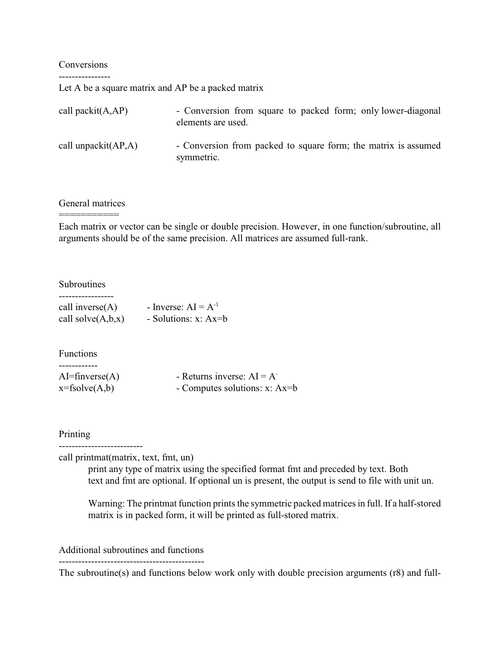#### Conversions ----------------

Let A be a square matrix and AP be a packed matrix

| call packit $(A, AP)$   | - Conversion from square to packed form; only lower-diagonal<br>elements are used. |
|-------------------------|------------------------------------------------------------------------------------|
| call unpackit $(AP, A)$ | - Conversion from packed to square form; the matrix is assumed<br>symmetric.       |

# General matrices ===========

Each matrix or vector can be single or double precision. However, in one function/subroutine, all arguments should be of the same precision. All matrices are assumed full-rank.

### **Subroutines**

| call inverse $(A)$   | - Inverse: $AI = A^{-1}$ |
|----------------------|--------------------------|
| call solve $(A,b,x)$ | - Solutions: $x: Ax=b$   |

### Functions

| $AI = \text{finverse}(A)$ | - Returns inverse: $AI = A$   |
|---------------------------|-------------------------------|
| $x = fsolve(A,b)$         | - Computes solutions: x: Ax=b |

#### Printing

--------------------------

call printmat(matrix, text, fmt, un)

print any type of matrix using the specified format fmt and preceded by text. Both text and fmt are optional. If optional un is present, the output is send to file with unit un.

Warning: The printmat function prints the symmetric packed matrices in full. If a half-stored matrix is in packed form, it will be printed as full-stored matrix.

Additional subroutines and functions ---------------------------------------------

The subroutine(s) and functions below work only with double precision arguments (r8) and full-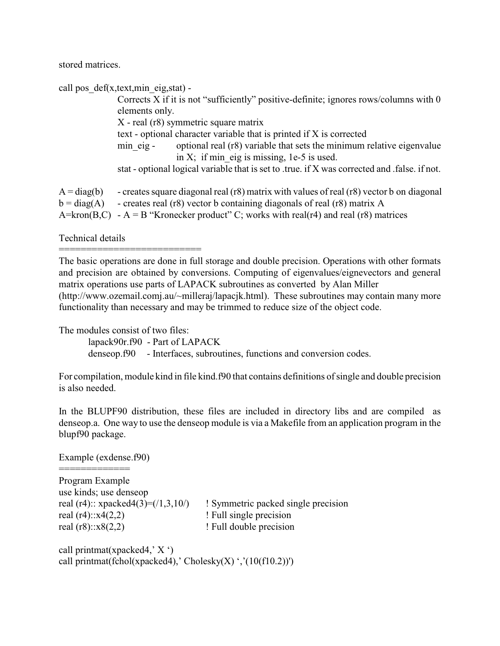stored matrices.

|                                                     | call pos def(x,text,min eig,stat) -                                                                                                                                                                                                              |
|-----------------------------------------------------|--------------------------------------------------------------------------------------------------------------------------------------------------------------------------------------------------------------------------------------------------|
|                                                     | Corrects X if it is not "sufficiently" positive-definite; ignores rows/columns with 0                                                                                                                                                            |
|                                                     | elements only.                                                                                                                                                                                                                                   |
|                                                     | X - real (r8) symmetric square matrix                                                                                                                                                                                                            |
|                                                     | text - optional character variable that is printed if X is corrected                                                                                                                                                                             |
|                                                     | optional real (r8) variable that sets the minimum relative eigenvalue<br>min eig-                                                                                                                                                                |
|                                                     | in X; if min eig is missing, $1e-5$ is used.                                                                                                                                                                                                     |
|                                                     | stat - optional logical variable that is set to .true. if X was corrected and .false. if not.                                                                                                                                                    |
| $A = diag(b)$<br>$b = diag(A)$<br>$A=$ kron $(B,C)$ | - creates square diagonal real (r8) matrix with values of real (r8) vector b on diagonal<br>- creates real (r8) vector b containing diagonals of real (r8) matrix A<br>- A = B "Kronecker product" C; works with real(r4) and real (r8) matrices |

Technical details

The basic operations are done in full storage and double precision. Operations with other formats and precision are obtained by conversions. Computing of eigenvalues/eignevectors and general matrix operations use parts of LAPACK subroutines as converted by Alan Miller (http://www.ozemail.comj.au/~milleraj/lapacjk.html). These subroutines may contain many more functionality than necessary and may be trimmed to reduce size of the object code.

The modules consist of two files:

==========================

lapack90r.f90 - Part of LAPACK

denseop.f90 - Interfaces, subroutines, functions and conversion codes.

For compilation, module kind in file kind.f90 that contains definitions of single and double precision is also needed.

In the BLUPF90 distribution, these files are included in directory libs and are compiled as denseop.a. One way to use the denseop module is via a Makefile from an application program in the blupf90 package.

Example (exdense.f90)

============= Program Example use kinds; use denseop real  $(r4)$ :: $x4(2,2)$  ! Full single precision real  $(r8)$ ::x $8(2,2)$  ! Full double precision

real  $(r4)$ :: xpacked $4(3)=(/1,3,10/)$  ! Symmetric packed single precision

call printmat(xpacked4,' X ') call printmat(fchol(xpacked4),' Cholesky(X) ','(10(f10.2))')